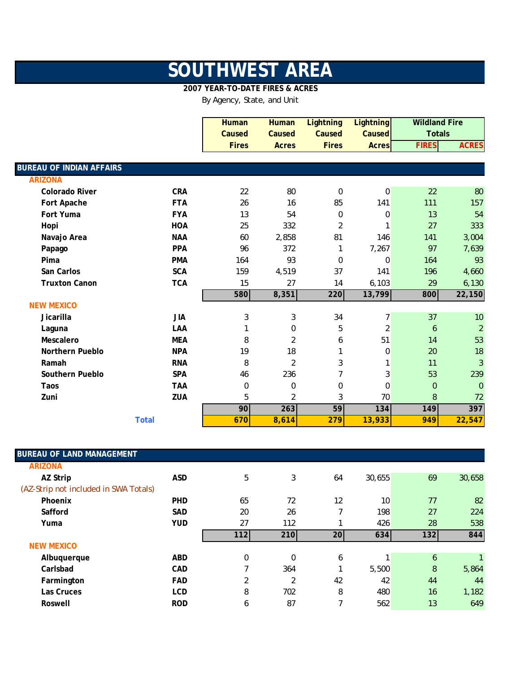## **SOUTHWEST AREA**

## **2007 YEAR-TO-DATE FIRES & ACRES**

By Agency, State, and Unit

|                                 |              | <b>Human</b> | <b>Human</b>     | <b>Lightning</b> | <b>Lightning</b> | <b>Wildland Fire</b> |                |
|---------------------------------|--------------|--------------|------------------|------------------|------------------|----------------------|----------------|
|                                 |              | Caused       | Caused           | Caused           | Caused           | <b>Totals</b>        |                |
|                                 |              | <b>Fires</b> | <b>Acres</b>     | <b>Fires</b>     | <b>Acres</b>     | <b>FIRES</b>         | <b>ACRES</b>   |
|                                 |              |              |                  |                  |                  |                      |                |
| <b>BUREAU OF INDIAN AFFAIRS</b> |              |              |                  |                  |                  |                      |                |
| <b>ARIZONA</b>                  |              |              |                  |                  |                  |                      |                |
| <b>Colorado River</b>           | <b>CRA</b>   | 22           | 80               | $\mathbf 0$      | 0                | 22                   | 80             |
| Fort Apache                     | <b>FTA</b>   | 26           | 16               | 85               | 141              | 111                  | 157            |
| Fort Yuma                       | <b>FYA</b>   | 13           | 54               | $\boldsymbol{0}$ | $\mathbf 0$      | 13                   | 54             |
| Hopi                            | <b>HOA</b>   | 25           | 332              | $\overline{2}$   | 1                | 27                   | 333            |
| Navajo Area                     | <b>NAA</b>   | 60           | 2,858            | 81               | 146              | 141                  | 3,004          |
| Papago                          | <b>PPA</b>   | 96           | 372              | 1                | 7,267            | 97                   | 7,639          |
| Pima                            | <b>PMA</b>   | 164          | 93               | $\Omega$         | $\mathbf 0$      | 164                  | 93             |
| San Carlos                      | <b>SCA</b>   | 159          | 4,519            | 37               | 141              | 196                  | 4,660          |
| <b>Truxton Canon</b>            | <b>TCA</b>   | 15           | 27               | 14               | 6,103            | 29                   | 6,130          |
|                                 |              | 580          | 8,351            | 220              | 13,799           | 800                  | 22,150         |
| <b>NEW MEXICO</b>               |              |              |                  |                  |                  |                      |                |
| Jicarilla                       | <b>JIA</b>   | 3            | 3                | 34               | 7                | 37                   | 10             |
| Laguna                          | LAA          |              | 0                | 5                | $\overline{2}$   | 6                    | $\overline{2}$ |
| Mescalero                       | <b>MEA</b>   | 8            | 2                | 6                | 51               | 14                   | 53             |
| <b>Northern Pueblo</b>          | <b>NPA</b>   | 19           | 18               | 1                | 0                | 20                   | 18             |
| Ramah                           | <b>RNA</b>   | 8            | $\overline{2}$   | 3                |                  | 11                   | 3              |
| Southern Pueblo                 | <b>SPA</b>   | 46           | 236              | 7                | 3                | 53                   | 239            |
| Taos                            | <b>TAA</b>   | 0            | $\boldsymbol{0}$ | $\mathbf 0$      | 0                | $\overline{0}$       | $\overline{0}$ |
| Zuni                            | ZUA          | 5            | $\overline{2}$   | 3                | 70               | 8                    | 72             |
|                                 |              | 90           | 263              | 59               | 134              | 149                  | 397            |
|                                 | <b>Total</b> | 670          | 8,614            | 279              | 13,933           | 949                  | 22,547         |

| <b>BUREAU OF LAND MANAGEMENT</b>      |            |     |     |    |        |     |              |
|---------------------------------------|------------|-----|-----|----|--------|-----|--------------|
| <b>ARIZONA</b>                        |            |     |     |    |        |     |              |
| AZ Strip                              | <b>ASD</b> | 5   | 3   | 64 | 30,655 | 69  | 30,658       |
| (AZ-Strip not included in SWA Totals) |            |     |     |    |        |     |              |
| Phoenix                               | <b>PHD</b> | 65  | 72  | 12 | 10     | 77  | 82           |
| Safford                               | <b>SAD</b> | 20  | 26  | 7  | 198    | 27  | 224          |
| Yuma                                  | <b>YUD</b> | 27  | 112 |    | 426    | 28  | 538          |
|                                       |            | 112 | 210 | 20 | 634    | 132 | 844          |
| <b>NEW MEXICO</b>                     |            |     |     |    |        |     |              |
| Albuquerque                           | <b>ABD</b> | 0   | 0   | 6  |        | 6   | $\mathbf{1}$ |
| Carlsbad                              | <b>CAD</b> | 7   | 364 |    | 5,500  | 8   | 5,864        |
| Farmington                            | <b>FAD</b> | 2   | 2   | 42 | 42     | 44  | 44           |
| Las Cruces                            | <b>LCD</b> | 8   | 702 | 8  | 480    | 16  | 1,182        |
| Roswell                               | <b>ROD</b> | 6   | 87  | ┑  | 562    | 13  | 649          |
|                                       |            |     |     |    |        |     |              |

I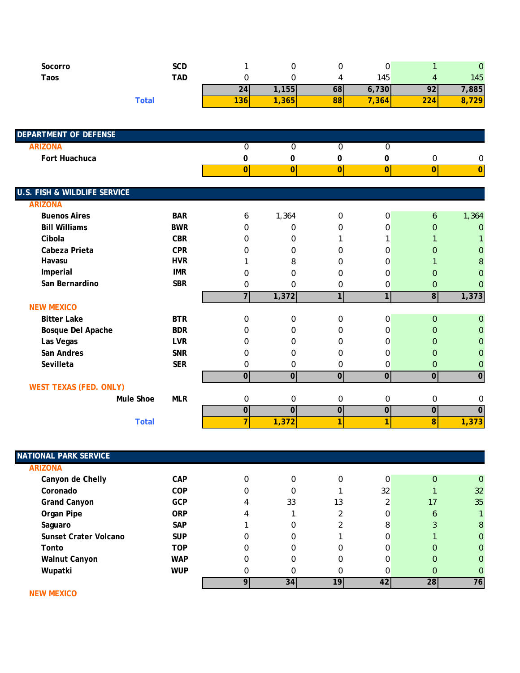| Socorro | SCD               |           |       |     |       |                                         | 0    |
|---------|-------------------|-----------|-------|-----|-------|-----------------------------------------|------|
| Taos    | TAD               |           |       |     | 145   |                                         | 145  |
|         |                   | <b>Z4</b> | ,155  | 68I | 6,730 | ^^<br>$\overline{\phantom{a}}$          | ,885 |
|         | <sup>-</sup> otal | 136       | , 365 | 88  | , 364 | $\sim$ $\sim$ $\sim$<br>$\mathcal{L}24$ | 729  |

| <b>DEPARTMENT OF DEFENSE</b>            |            |                |                |                |                |                  |                |
|-----------------------------------------|------------|----------------|----------------|----------------|----------------|------------------|----------------|
| <b>ARIZONA</b>                          |            | 0              | 0              | $\mathbf 0$    | 0              |                  |                |
| Fort Huachuca                           |            | 0              | 0              | 0              | 0              | $\boldsymbol{0}$ | 0              |
|                                         |            | $\overline{0}$ | $\overline{0}$ | 0              | $\overline{0}$ | $\overline{0}$   | $\overline{0}$ |
|                                         |            |                |                |                |                |                  |                |
| <b>U.S. FISH &amp; WILDLIFE SERVICE</b> |            |                |                |                |                |                  |                |
| <b>ARIZONA</b>                          |            |                |                |                |                |                  |                |
| <b>Buenos Aires</b>                     | <b>BAR</b> | 6              | 1,364          | $\mathbf 0$    | 0              | 6                | 1,364          |
| <b>Bill Williams</b>                    | <b>BWR</b> | $\Omega$       | 0              | $\mathbf 0$    | 0              | $\Omega$         | $\overline{0}$ |
| Cibola                                  | <b>CBR</b> | $\Omega$       | 0              | 1              | 1              |                  |                |
| Cabeza Prieta                           | <b>CPR</b> | 0              | 0              | 0              | 0              | $\Omega$         | 0              |
| Havasu                                  | <b>HVR</b> |                | 8              | $\Omega$       | 0              |                  | 8              |
| Imperial                                | <b>IMR</b> | 0              | 0              | $\Omega$       | $\Omega$       | $\Omega$         | O              |
| San Bernardino                          | <b>SBR</b> | 0              | 0              | 0              | 0              | 0                | 0              |
|                                         |            | $\overline{7}$ | 1,372          | 1              | 1 <sup>1</sup> | $\overline{8}$   | 1,373          |
| <b>NEW MEXICO</b>                       |            |                |                |                |                |                  |                |
| <b>Bitter Lake</b>                      | <b>BTR</b> | $\Omega$       | 0              | $\Omega$       | 0              | $\Omega$         | $\overline{0}$ |
| Bosque Del Apache                       | <b>BDR</b> | 0              | 0              | $\Omega$       | 0              | $\Omega$         | 0              |
| Las Vegas                               | <b>LVR</b> | O              | 0              | $\Omega$       | $\Omega$       | $\Omega$         |                |
| San Andres                              | <b>SNR</b> | 0              | 0              | $\Omega$       | 0              | $\Omega$         | 0              |
| Sevilleta                               | <b>SER</b> | 0              | 0              | 0              | 0              | 0                | 0              |
|                                         |            | $\mathbf 0$    | $\overline{0}$ | 0              | $\overline{0}$ | $\overline{0}$   | $\overline{0}$ |
| <b>WEST TEXAS (FED. ONLY)</b>           |            |                |                |                |                |                  |                |
| <b>Mule Shoe</b>                        | <b>MLR</b> | 0              | 0              | 0              | 0              | 0                | 0              |
|                                         |            | 0              | $\overline{0}$ | $\overline{0}$ | $\overline{0}$ | 0                | $\overline{0}$ |
| <b>Total</b>                            |            | $\overline{7}$ | 1,372          | 1              | $\overline{1}$ | 8                | 1,373          |

| <b>ARIZONA</b>        |            |   |    |     |                 |          |    |
|-----------------------|------------|---|----|-----|-----------------|----------|----|
| Canyon de Chelly      | <b>CAP</b> | 0 | 0  | 0   | 0               | $\Omega$ | 0  |
| Coronado              | <b>COP</b> |   | 0  |     | 32              |          | 32 |
| <b>Grand Canyon</b>   | <b>GCP</b> | 4 | 33 | 13  | ◠               | 17       | 35 |
| Organ Pipe            | <b>ORP</b> |   |    |     | 0               | 6        |    |
| Saguaro               | <b>SAP</b> |   | 0  |     | 8               |          | 8  |
| Sunset Crater Volcano | <b>SUP</b> |   | 0  |     | 0               |          | 0  |
| Tonto                 | <b>TOP</b> | 0 |    | 0   | 0               | $\Omega$ | 0  |
| <b>Walnut Canyon</b>  | <b>WAP</b> | 0 |    |     | 0               | $\Omega$ | 0  |
| Wupatki               | <b>WUP</b> | 0 |    |     | 0               | 0        | 0  |
|                       |            | 9 | 34 | 19. | 42 <sub>1</sub> | 28       | 76 |

 **NEW MEXICO**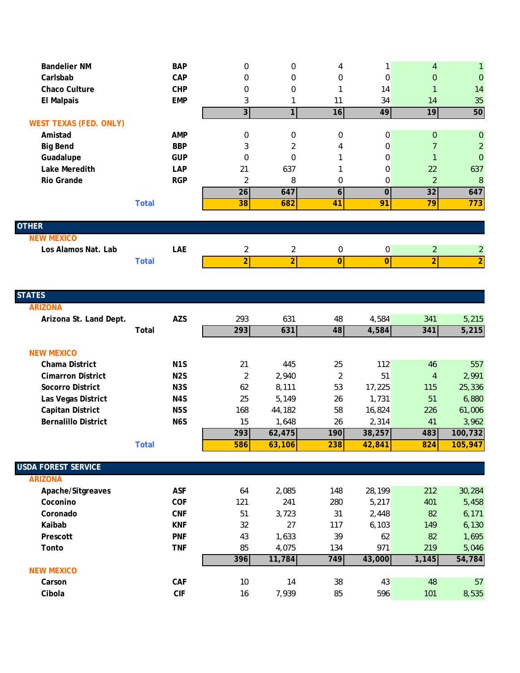| <b>Bandelier NM</b>           | <b>BAP</b>   | $\mathbf{0}$   | $\mathbf 0$    | 4              |                | $\overline{4}$ |                |
|-------------------------------|--------------|----------------|----------------|----------------|----------------|----------------|----------------|
| Carlsbab                      | <b>CAP</b>   | $\Omega$       | 0              | $\mathbf 0$    | 0              | $\overline{0}$ | $\mathbf{0}$   |
| <b>Chaco Culture</b>          | <b>CHP</b>   | $\Omega$       | $\mathbf 0$    |                | 14             |                | 14             |
| <b>El Malpais</b>             | <b>EMP</b>   | 3              |                | 11             | 34             | 14             | 35             |
|                               |              | 3 <sup>1</sup> | 1              | 16             | 49             | 19             | 50             |
| <b>WEST TEXAS (FED. ONLY)</b> |              |                |                |                |                |                |                |
| Amistad                       | <b>AMP</b>   | 0              | 0              | $\mathbf 0$    | 0              | $\mathbf{0}$   | $\mathbf{0}$   |
| <b>Big Bend</b>               | <b>BBP</b>   | 3              | 2              | 4              | 0              | 7              | $\overline{2}$ |
| Guadalupe                     | <b>GUP</b>   | $\Omega$       | $\Omega$       |                | 0              |                | $\Omega$       |
| Lake Meredith                 | <b>LAP</b>   | 21             | 637            |                | 0              | 22             | 637            |
| Rio Grande                    | <b>RGP</b>   | 2              | 8              | 0              | 0              | $\overline{2}$ | 8              |
|                               |              | 26             | 647            | 6              | 0              | 32             | 647            |
|                               | <b>Total</b> | 38             | 682            | 41             | 91             | 79             | 773            |
|                               |              |                |                |                |                |                |                |
| <b>OTHER</b>                  |              |                |                |                |                |                |                |
| <b>NEW MEXICO</b>             |              |                |                |                |                |                |                |
| Los Alamos Nat. Lab           | <b>LAE</b>   | $\overline{2}$ | $\overline{2}$ | $\mathbf 0$    | 0              | $\overline{2}$ | $\overline{2}$ |
|                               | <b>Total</b> | $\overline{2}$ | $\overline{2}$ | $\overline{0}$ | $\overline{0}$ | $\overline{2}$ | $\overline{2}$ |

| <b>STATES</b>              |                  |     |        |                |        |       |         |
|----------------------------|------------------|-----|--------|----------------|--------|-------|---------|
| <b>ARIZONA</b>             |                  |     |        |                |        |       |         |
| Arizona St. Land Dept.     | <b>AZS</b>       | 293 | 631    | 48             | 4,584  | 341   | 5,215   |
|                            | Total            | 293 | 631    | 48             | 4,584  | 341   | 5,215   |
|                            |                  |     |        |                |        |       |         |
| <b>NEW MEXICO</b>          |                  |     |        |                |        |       |         |
| Chama District             | N <sub>1</sub> S | 21  | 445    | 25             | 112    | 46    | 557     |
| <b>Cimarron District</b>   | N <sub>2</sub> S | 2   | 2,940  | $\overline{2}$ | 51     | 4     | 2,991   |
| Socorro District           | N <sub>3</sub> S | 62  | 8,111  | 53             | 17,225 | 115   | 25,336  |
| Las Vegas District         | N <sub>4</sub> S | 25  | 5,149  | 26             | 1,731  | 51    | 6,880   |
| Capitan District           | N <sub>5</sub> S | 168 | 44,182 | 58             | 16,824 | 226   | 61,006  |
| <b>Bernalillo District</b> | N <sub>6</sub> S | 15  | 1,648  | 26             | 2,314  | 41    | 3,962   |
|                            |                  | 293 | 62,475 | 190            | 38,257 | 483   | 100,732 |
|                            | <b>Total</b>     | 586 | 63,106 | 238            | 42,841 | 824   | 105,947 |
|                            |                  |     |        |                |        |       |         |
| <b>USDA FOREST SERVICE</b> |                  |     |        |                |        |       |         |
| <b>ARIZONA</b>             |                  |     |        |                |        |       |         |
| Apache/Sitgreaves          | <b>ASF</b>       | 64  | 2,085  | 148            | 28,199 | 212   | 30,284  |
| Coconino                   | <b>COF</b>       | 121 | 241    | 280            | 5,217  | 401   | 5,458   |
| Coronado                   | <b>CNF</b>       | 51  | 3,723  | 31             | 2,448  | 82    | 6,171   |
| Kaibab                     | <b>KNF</b>       | 32  | 27     | 117            | 6,103  | 149   | 6,130   |
| Prescott                   | <b>PNF</b>       | 43  | 1,633  | 39             | 62     | 82    | 1,695   |
| Tonto                      | <b>TNF</b>       | 85  | 4,075  | 134            | 971    | 219   | 5,046   |
|                            |                  | 396 | 11,784 | 749            | 43,000 | 1,145 | 54,784  |
| <b>NEW MEXICO</b>          |                  |     |        |                |        |       |         |
| Carson                     | <b>CAF</b>       | 10  | 14     | 38             | 43     | 48    | 57      |
| Cibola                     | <b>CIF</b>       | 16  | 7,939  | 85             | 596    | 101   | 8,535   |
|                            |                  |     |        |                |        |       |         |